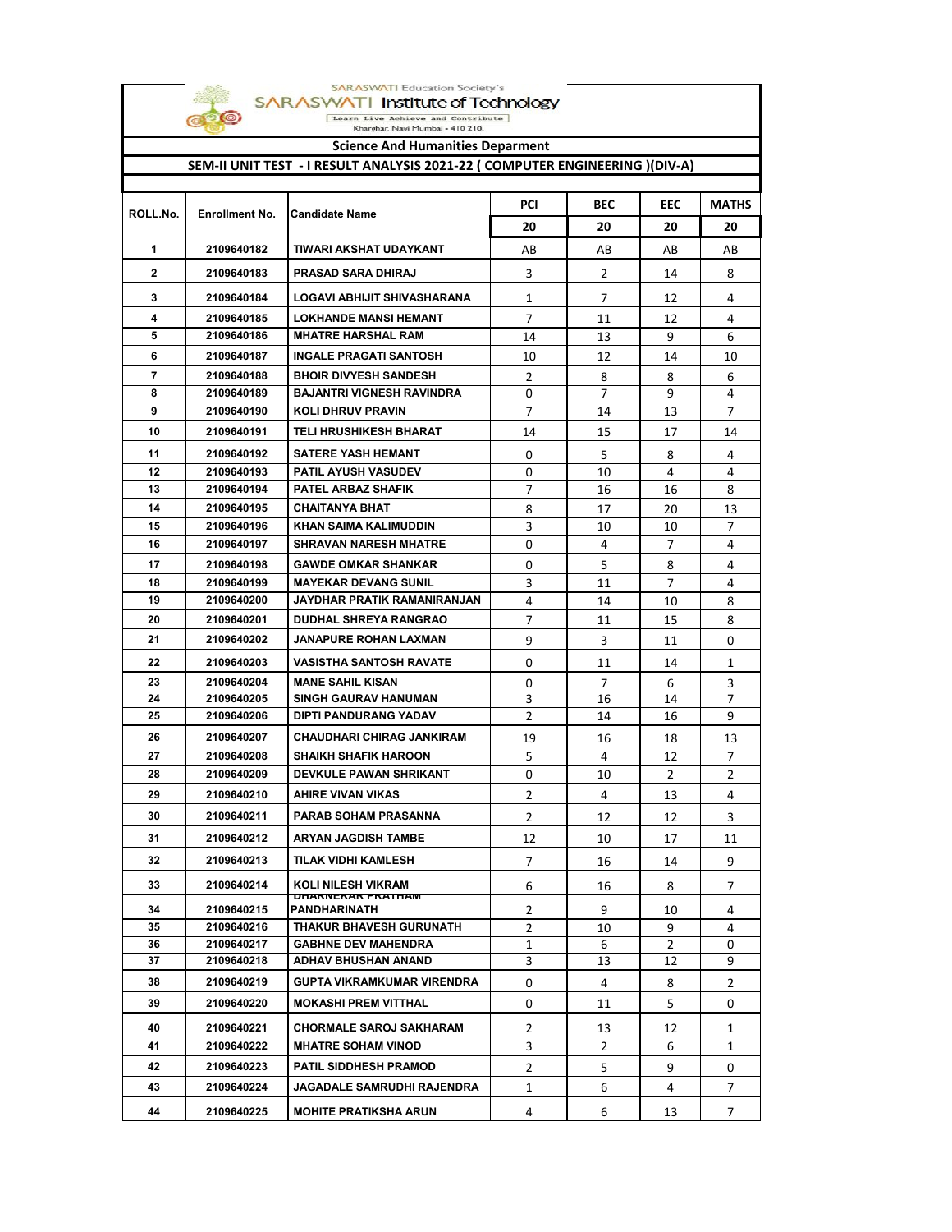

SARASWATI Institute of Technology **SCIENCE AND THE SCIENCE OF THE SCIENCE AND HUMANITIES**<br> **SCIENCE And Humanities Deparment** 

SARASWATI Education Society's

t

| Science And Humanities Deparment<br>SEM-II UNIT TEST - I RESULT ANALYSIS 2021-22 (COMPUTER ENGINEERING )(DIV-A) |                          |                                                           |                |                |                     |                       |
|-----------------------------------------------------------------------------------------------------------------|--------------------------|-----------------------------------------------------------|----------------|----------------|---------------------|-----------------------|
|                                                                                                                 |                          |                                                           | <b>PCI</b>     | <b>BEC</b>     | <b>EEC</b>          | <b>MATHS</b>          |
| ROLL.No.                                                                                                        | <b>Enrollment No.</b>    | <b>Candidate Name</b>                                     | 20             | 20             | 20                  | 20                    |
| 1                                                                                                               | 2109640182               | TIWARI AKSHAT UDAYKANT                                    | AB             | AB             | AB                  | AB                    |
| $\overline{2}$                                                                                                  | 2109640183               | <b>PRASAD SARA DHIRAJ</b>                                 | 3              | $\overline{2}$ | 14                  | 8                     |
| 3                                                                                                               | 2109640184               | LOGAVI ABHIJIT SHIVASHARANA                               | 1              | 7              | 12                  | 4                     |
| 4                                                                                                               | 2109640185               | <b>LOKHANDE MANSI HEMANT</b>                              | $\overline{7}$ | 11             | 12                  | 4                     |
| 5                                                                                                               | 2109640186               | <b>MHATRE HARSHAL RAM</b>                                 | 14             | 13             | 9                   | 6                     |
| 6                                                                                                               | 2109640187               | <b>INGALE PRAGATI SANTOSH</b>                             | 10             | 12             | 14                  | 10                    |
| $\overline{7}$                                                                                                  | 2109640188               | <b>BHOIR DIVYESH SANDESH</b>                              | 2              | 8              | 8                   | 6                     |
| 8                                                                                                               | 2109640189               | <b>BAJANTRI VIGNESH RAVINDRA</b>                          | 0              | 7              | 9                   | 4                     |
| 9                                                                                                               | 2109640190               | <b>KOLI DHRUV PRAVIN</b>                                  | $\overline{7}$ | 14             | 13                  | 7                     |
| 10                                                                                                              | 2109640191               | TELI HRUSHIKESH BHARAT                                    | 14             | 15             | 17                  | 14                    |
| 11                                                                                                              | 2109640192               | <b>SATERE YASH HEMANT</b>                                 | 0              | 5              | 8                   | 4                     |
| $12 \,$                                                                                                         | 2109640193               | <b>PATIL AYUSH VASUDEV</b>                                | 0              | 10             | 4                   | 4                     |
| 13                                                                                                              | 2109640194               | PATEL ARBAZ SHAFIK                                        | 7              | 16             | 16                  | 8                     |
| 14                                                                                                              | 2109640195               | <b>CHAITANYA BHAT</b>                                     | 8              | 17             | 20                  | 13                    |
| 15                                                                                                              | 2109640196               | <b>KHAN SAIMA KALIMUDDIN</b>                              | 3              | 10             | 10                  | 7                     |
| 16                                                                                                              | 2109640197               | <b>SHRAVAN NARESH MHATRE</b>                              | 0              | 4              | 7                   | 4                     |
| 17<br>18                                                                                                        | 2109640198<br>2109640199 | <b>GAWDE OMKAR SHANKAR</b><br><b>MAYEKAR DEVANG SUNIL</b> | 0              | 5              | 8<br>$\overline{7}$ | 4                     |
| 19                                                                                                              | 2109640200               | JAYDHAR PRATIK RAMANIRANJAN                               | 3<br>4         | 11<br>14       | 10                  | 4<br>8                |
| 20                                                                                                              | 2109640201               | <b>DUDHAL SHREYA RANGRAO</b>                              | 7              | 11             | 15                  | 8                     |
| 21                                                                                                              | 2109640202               | <b>JANAPURE ROHAN LAXMAN</b>                              | 9              | 3              | 11                  | 0                     |
| 22                                                                                                              | 2109640203               | <b>VASISTHA SANTOSH RAVATE</b>                            | 0              | 11             | 14                  | 1                     |
| 23                                                                                                              | 2109640204               | <b>MANE SAHIL KISAN</b>                                   | 0              | $\overline{7}$ | 6                   | 3                     |
| 24                                                                                                              | 2109640205               | <b>SINGH GAURAV HANUMAN</b>                               | 3              | 16             | 14                  | 7                     |
| 25                                                                                                              | 2109640206               | DIPTI PANDURANG YADAV                                     | 2              | 14             | 16                  | 9                     |
| 26                                                                                                              | 2109640207               | <b>CHAUDHARI CHIRAG JANKIRAM</b>                          | 19             | 16             | 18                  | 13                    |
| 27                                                                                                              | 2109640208               | <b>SHAIKH SHAFIK HAROON</b>                               | 5              | 4              | 12                  | 7                     |
| 28                                                                                                              | 2109640209               | DEVKULE PAWAN SHRIKANT                                    | 0              | 10             | $\overline{2}$      | $\mathbf{2}^{\prime}$ |
| 29                                                                                                              | 2109640210               | AHIRE VIVAN VIKAS                                         | 2              | 4              | 13                  | 4                     |
| 30                                                                                                              | 2109640211               | <b>PARAB SOHAM PRASANNA</b>                               | $\overline{2}$ | 12             | 12                  | 3                     |
| 31                                                                                                              | 2109640212               | <b>ARYAN JAGDISH TAMBE</b>                                | 12             | 10             | 17                  | 11                    |
| 32                                                                                                              | 2109640213               | TILAK VIDHI KAMLESH                                       | $\overline{7}$ | 16             | 14                  | 9                     |
| 33                                                                                                              | 2109640214               | KOLI NILESH VIKRAM                                        | 6              | 16             | 8                   | 7                     |
| 34                                                                                                              | 2109640215               | UNARNERAR FRATNAM<br>PANDHARINATH                         | 2              | 9              | 10                  | 4                     |
| 35                                                                                                              | 2109640216               | THAKUR BHAVESH GURUNATH                                   | $\overline{2}$ | 10             | 9                   | 4                     |
| 36                                                                                                              | 2109640217               | <b>GABHNE DEV MAHENDRA</b>                                | 1              | 6              | $\overline{2}$      | 0                     |
| 37                                                                                                              | 2109640218               | ADHAV BHUSHAN ANAND                                       | 3              | 13             | 12                  | 9                     |
| 38                                                                                                              | 2109640219               | <b>GUPTA VIKRAMKUMAR VIRENDRA</b>                         | 0              | 4              | 8                   | 2                     |
| 39                                                                                                              | 2109640220               | <b>MOKASHI PREM VITTHAL</b>                               | 0              | 11             | 5                   | 0                     |
| 40                                                                                                              | 2109640221               | <b>CHORMALE SAROJ SAKHARAM</b>                            | 2              | 13             | 12                  | 1                     |
| 41                                                                                                              | 2109640222               | <b>MHATRE SOHAM VINOD</b>                                 | 3              | 2              | 6                   | $\mathbf{1}$          |
| 42                                                                                                              | 2109640223               | <b>PATIL SIDDHESH PRAMOD</b>                              | $\mathbf{2}$   | 5              | 9                   | 0                     |
| 43                                                                                                              | 2109640224               | <b>JAGADALE SAMRUDHI RAJENDRA</b>                         | 1              | 6              | 4                   | 7                     |
| 44                                                                                                              | 2109640225               | <b>MOHITE PRATIKSHA ARUN</b>                              | 4              | 6              | 13                  | 7                     |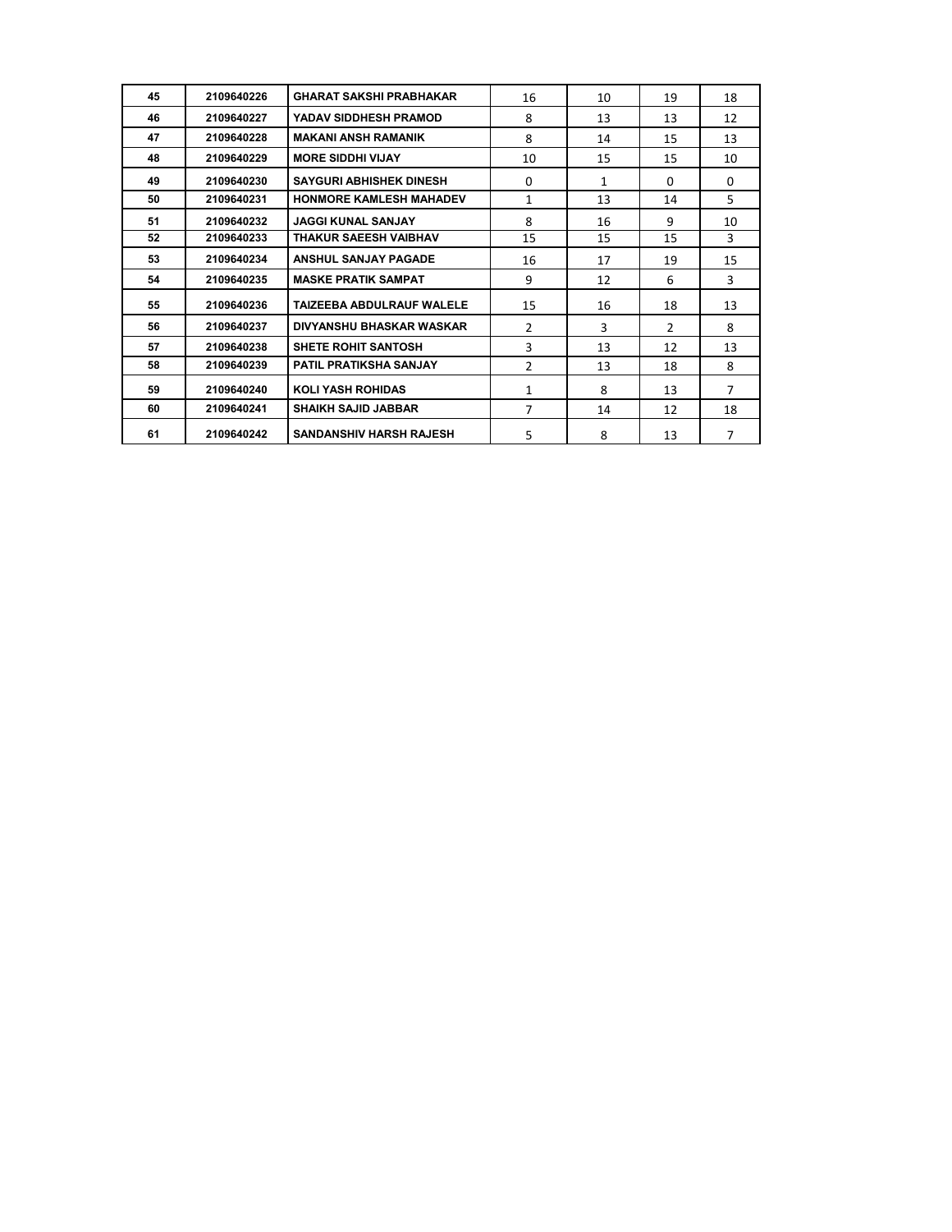| 45 | 2109640226 | <b>GHARAT SAKSHI PRABHAKAR</b>   | 16            | 10           | 19            | 18             |
|----|------------|----------------------------------|---------------|--------------|---------------|----------------|
| 46 | 2109640227 | YADAV SIDDHESH PRAMOD            | 8             | 13           | 13            | 12             |
| 47 | 2109640228 | <b>MAKANI ANSH RAMANIK</b>       | 8             | 14           | 15            | 13             |
| 48 | 2109640229 | <b>MORE SIDDHI VIJAY</b>         | 10            | 15           | 15            | 10             |
| 49 | 2109640230 | <b>SAYGURI ABHISHEK DINESH</b>   | $\Omega$      | $\mathbf{1}$ | $\Omega$      | $\Omega$       |
| 50 | 2109640231 | HONMORE KAMLESH MAHADEV          | 1             | 13           | 14            | 5              |
| 51 | 2109640232 | <b>JAGGI KUNAL SANJAY</b>        | 8             | 16           | 9             | 10             |
| 52 | 2109640233 | <b>THAKUR SAEESH VAIBHAV</b>     | 15            | 15           | 15            | 3              |
| 53 | 2109640234 | <b>ANSHUL SANJAY PAGADE</b>      | 16            | 17           | 19            | 15             |
| 54 | 2109640235 | <b>MASKE PRATIK SAMPAT</b>       | 9             | 12           | 6             | 3              |
| 55 | 2109640236 | <b>TAIZEEBA ABDULRAUF WALELE</b> | 15            | 16           | 18            | 13             |
| 56 | 2109640237 | <b>DIVYANSHU BHASKAR WASKAR</b>  | $\mathcal{P}$ | 3            | $\mathcal{P}$ | 8              |
| 57 | 2109640238 | <b>SHETE ROHIT SANTOSH</b>       | 3             | 13           | 12            | 13             |
| 58 | 2109640239 | <b>PATIL PRATIKSHA SANJAY</b>    | 2             | 13           | 18            | 8              |
| 59 | 2109640240 | <b>KOLI YASH ROHIDAS</b>         | $\mathbf{1}$  | 8            | 13            | $\overline{7}$ |
| 60 | 2109640241 | <b>SHAIKH SAJID JABBAR</b>       | 7             | 14           | 12            | 18             |
| 61 | 2109640242 | <b>SANDANSHIV HARSH RAJESH</b>   | 5             | 8            | 13            | 7              |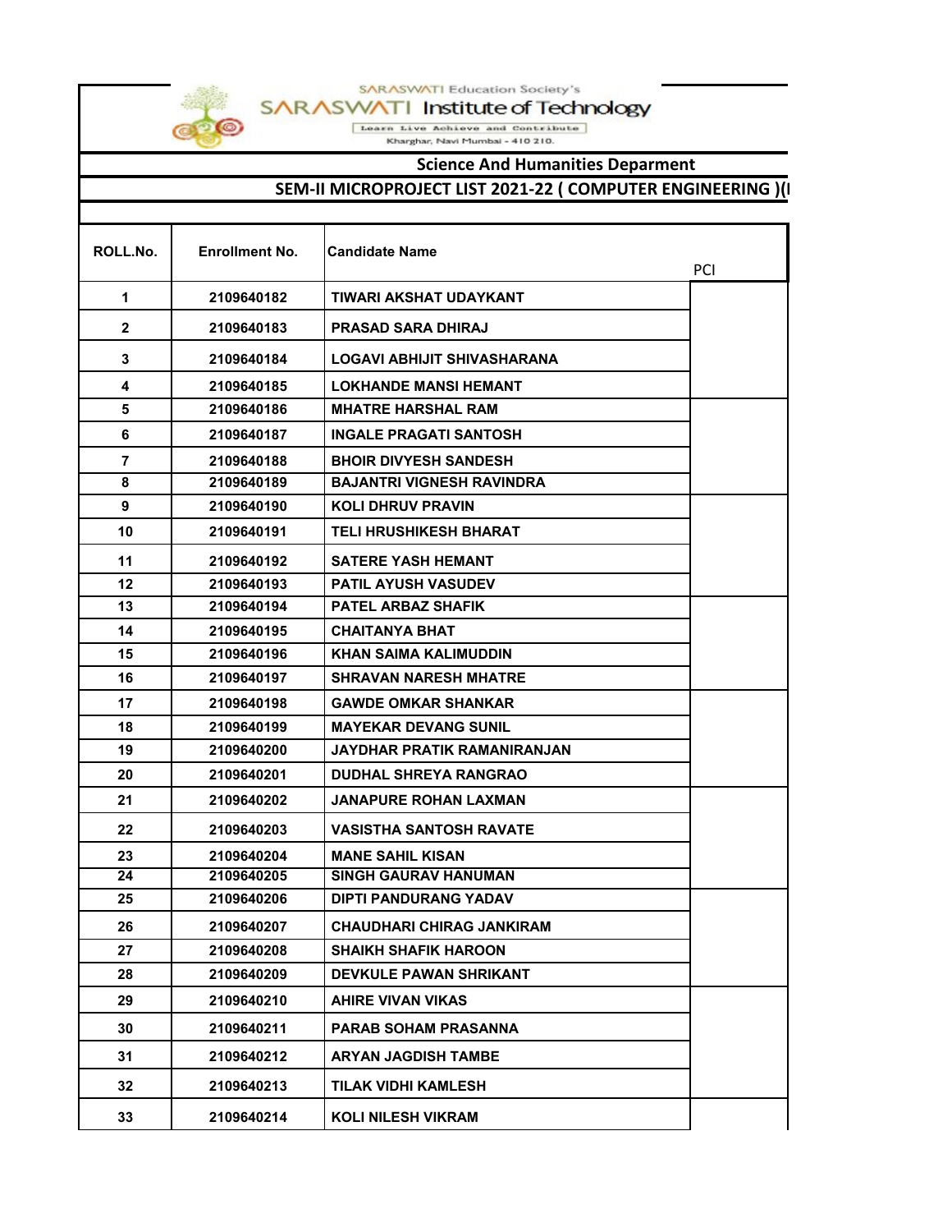



SARASWATI Institute of Technology

Learn Live Achieve and Contribute

Kharghar, Navi Mumbai - 410 210.

## **Science And Humanities Deparment**

## **SEM-II MICROPROJECT LIST 2021-22 ( COMPUTER ENGINEERING )(I**

| ROLL.No.       | <b>Enrollment No.</b> | <b>Candidate Name</b>            | PCI |
|----------------|-----------------------|----------------------------------|-----|
| 1              | 2109640182            | TIWARI AKSHAT UDAYKANT           |     |
| 2              | 2109640183            | <b>PRASAD SARA DHIRAJ</b>        |     |
| 3              | 2109640184            | LOGAVI ABHIJIT SHIVASHARANA      |     |
| 4              | 2109640185            | <b>LOKHANDE MANSI HEMANT</b>     |     |
| 5              | 2109640186            | <b>MHATRE HARSHAL RAM</b>        |     |
| 6              | 2109640187            | <b>INGALE PRAGATI SANTOSH</b>    |     |
| $\overline{7}$ | 2109640188            | <b>BHOIR DIVYESH SANDESH</b>     |     |
| 8              | 2109640189            | <b>BAJANTRI VIGNESH RAVINDRA</b> |     |
| 9              | 2109640190            | <b>KOLI DHRUV PRAVIN</b>         |     |
| 10             | 2109640191            | <b>TELI HRUSHIKESH BHARAT</b>    |     |
| 11             | 2109640192            | <b>SATERE YASH HEMANT</b>        |     |
| 12             | 2109640193            | <b>PATIL AYUSH VASUDEV</b>       |     |
| 13             | 2109640194            | <b>PATEL ARBAZ SHAFIK</b>        |     |
| 14             | 2109640195            | <b>CHAITANYA BHAT</b>            |     |
| 15             | 2109640196            | KHAN SAIMA KALIMUDDIN            |     |
| 16             | 2109640197            | <b>SHRAVAN NARESH MHATRE</b>     |     |
| 17             | 2109640198            | <b>GAWDE OMKAR SHANKAR</b>       |     |
| 18             | 2109640199            | <b>MAYEKAR DEVANG SUNIL</b>      |     |
| 19             | 2109640200            | JAYDHAR PRATIK RAMANIRANJAN      |     |
| 20             | 2109640201            | <b>DUDHAL SHREYA RANGRAO</b>     |     |
| 21             | 2109640202            | <b>JANAPURE ROHAN LAXMAN</b>     |     |
| 22             | 2109640203            | VASISTHA SANTOSH RAVATE          |     |
| 23             | 2109640204            | <b>MANE SAHIL KISAN</b>          |     |
| 24             | 2109640205            | <b>SINGH GAURAV HANUMAN</b>      |     |
| 25             | 2109640206            | <b>DIPTI PANDURANG YADAV</b>     |     |
| 26             | 2109640207            | <b>CHAUDHARI CHIRAG JANKIRAM</b> |     |
| 27             | 2109640208            | <b>SHAIKH SHAFIK HAROON</b>      |     |
| 28             | 2109640209            | <b>DEVKULE PAWAN SHRIKANT</b>    |     |
| 29             | 2109640210            | <b>AHIRE VIVAN VIKAS</b>         |     |
| 30             | 2109640211            | <b>PARAB SOHAM PRASANNA</b>      |     |
| 31             | 2109640212            | <b>ARYAN JAGDISH TAMBE</b>       |     |
| 32             | 2109640213            | <b>TILAK VIDHI KAMLESH</b>       |     |
| 33             | 2109640214            | <b>KOLI NILESH VIKRAM</b>        |     |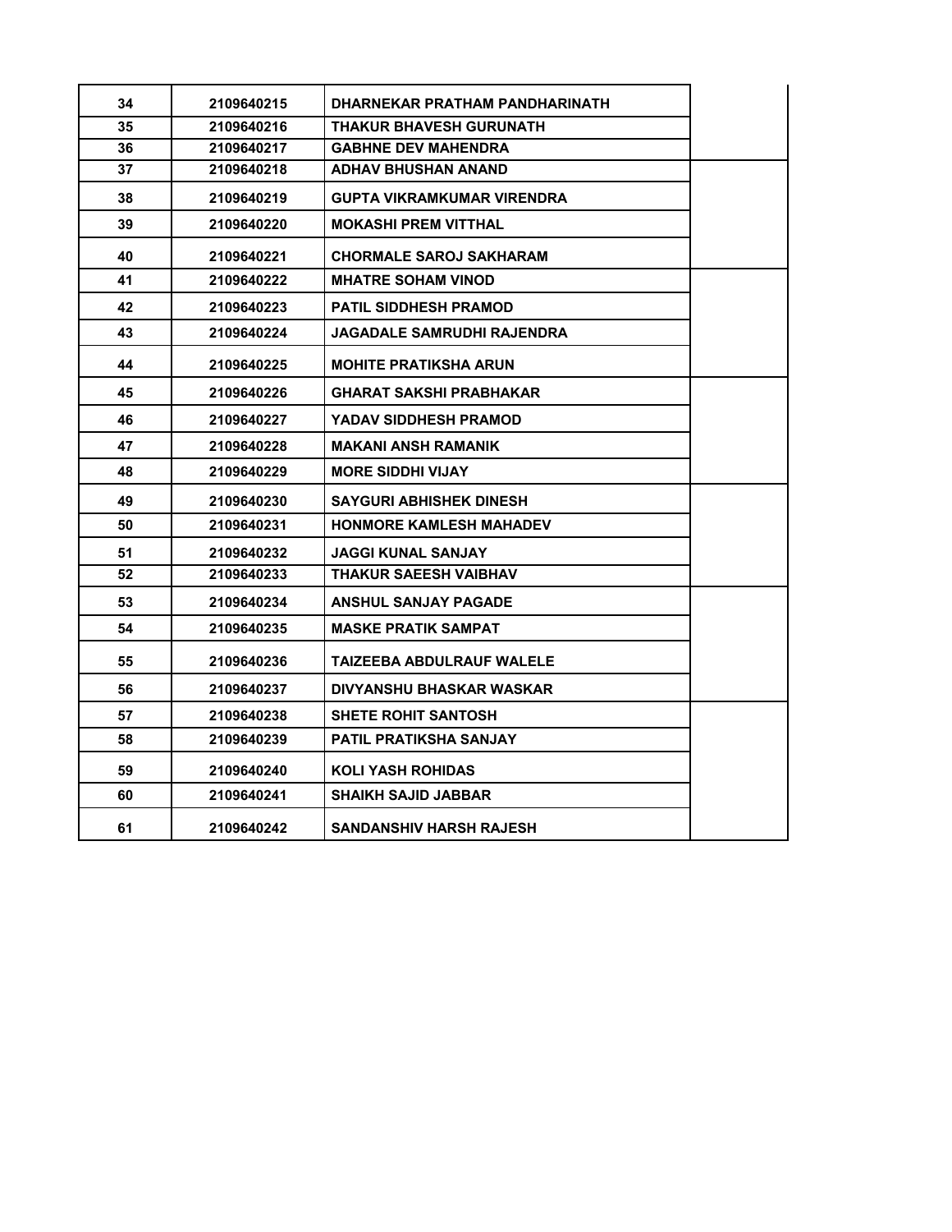| 34 | 2109640215 | DHARNEKAR PRATHAM PANDHARINATH    |  |
|----|------------|-----------------------------------|--|
| 35 | 2109640216 | <b>THAKUR BHAVESH GURUNATH</b>    |  |
| 36 | 2109640217 | <b>GABHNE DEV MAHENDRA</b>        |  |
| 37 | 2109640218 | <b>ADHAV BHUSHAN ANAND</b>        |  |
| 38 | 2109640219 | <b>GUPTA VIKRAMKUMAR VIRENDRA</b> |  |
| 39 | 2109640220 | <b>MOKASHI PREM VITTHAL</b>       |  |
| 40 | 2109640221 | <b>CHORMALE SAROJ SAKHARAM</b>    |  |
| 41 | 2109640222 | <b>MHATRE SOHAM VINOD</b>         |  |
| 42 | 2109640223 | <b>PATIL SIDDHESH PRAMOD</b>      |  |
| 43 | 2109640224 | <b>JAGADALE SAMRUDHI RAJENDRA</b> |  |
| 44 | 2109640225 | <b>MOHITE PRATIKSHA ARUN</b>      |  |
| 45 | 2109640226 | <b>GHARAT SAKSHI PRABHAKAR</b>    |  |
| 46 | 2109640227 | YADAV SIDDHESH PRAMOD             |  |
| 47 | 2109640228 | <b>MAKANI ANSH RAMANIK</b>        |  |
| 48 | 2109640229 | <b>MORE SIDDHI VIJAY</b>          |  |
| 49 | 2109640230 | <b>SAYGURI ABHISHEK DINESH</b>    |  |
| 50 | 2109640231 | <b>HONMORE KAMLESH MAHADEV</b>    |  |
| 51 | 2109640232 | <b>JAGGI KUNAL SANJAY</b>         |  |
| 52 | 2109640233 | <b>THAKUR SAEESH VAIBHAV</b>      |  |
| 53 | 2109640234 | <b>ANSHUL SANJAY PAGADE</b>       |  |
| 54 | 2109640235 | <b>MASKE PRATIK SAMPAT</b>        |  |
| 55 | 2109640236 | TAIZEEBA ABDULRAUF WALELE         |  |
| 56 | 2109640237 | DIVYANSHU BHASKAR WASKAR          |  |
| 57 | 2109640238 | <b>SHETE ROHIT SANTOSH</b>        |  |
| 58 | 2109640239 | PATIL PRATIKSHA SANJAY            |  |
| 59 | 2109640240 | KOLI YASH ROHIDAS                 |  |
| 60 | 2109640241 | <b>SHAIKH SAJID JABBAR</b>        |  |
| 61 | 2109640242 | <b>SANDANSHIV HARSH RAJESH</b>    |  |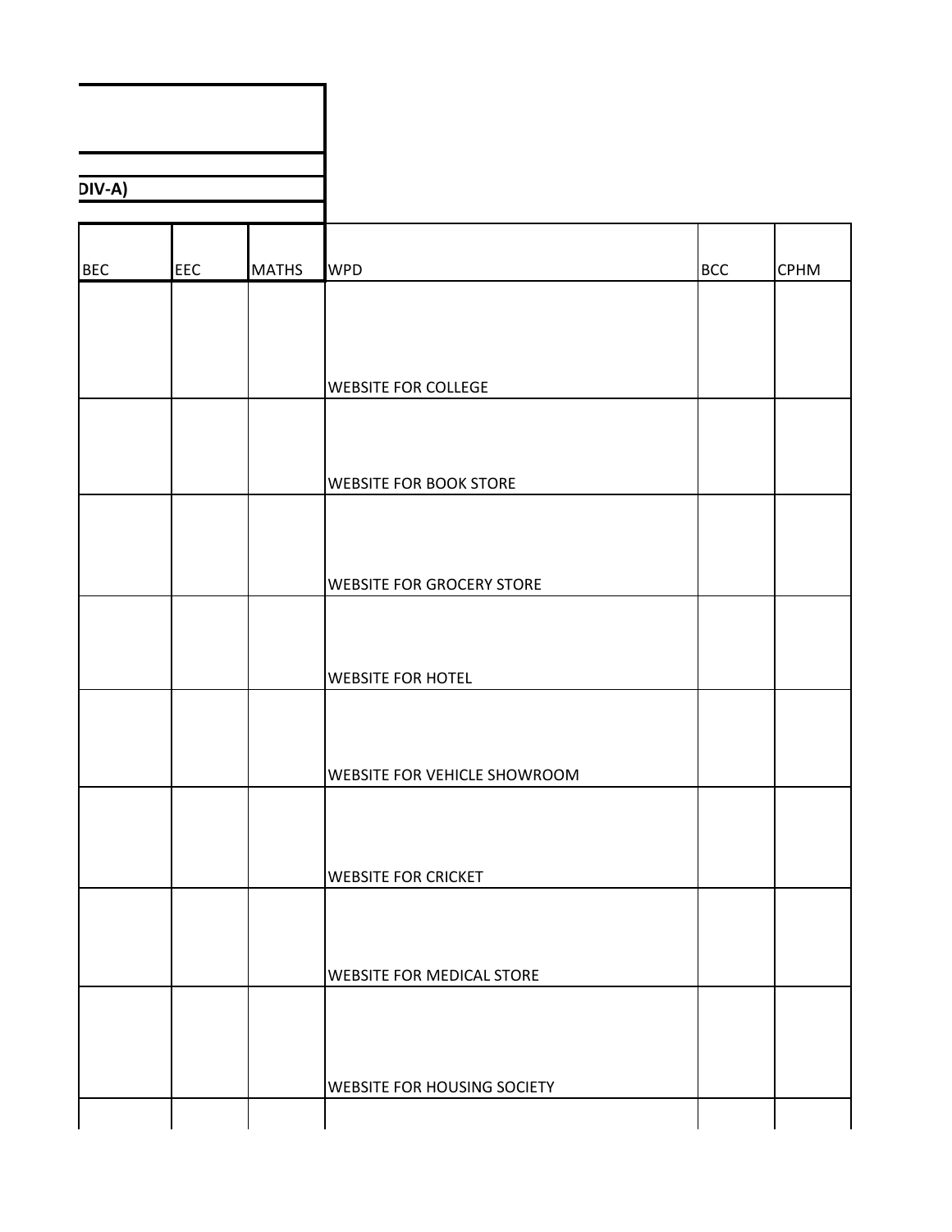| $DIV-A)$   |            |              |                                     |            |             |
|------------|------------|--------------|-------------------------------------|------------|-------------|
|            |            |              |                                     |            |             |
|            |            |              |                                     |            |             |
| <b>BEC</b> | <b>EEC</b> | <b>MATHS</b> | <b>WPD</b>                          | <b>BCC</b> | <b>CPHM</b> |
|            |            |              |                                     |            |             |
|            |            |              |                                     |            |             |
|            |            |              |                                     |            |             |
|            |            |              | <b>WEBSITE FOR COLLEGE</b>          |            |             |
|            |            |              |                                     |            |             |
|            |            |              |                                     |            |             |
|            |            |              |                                     |            |             |
|            |            |              | <b>WEBSITE FOR BOOK STORE</b>       |            |             |
|            |            |              |                                     |            |             |
|            |            |              |                                     |            |             |
|            |            |              | <b>WEBSITE FOR GROCERY STORE</b>    |            |             |
|            |            |              |                                     |            |             |
|            |            |              |                                     |            |             |
|            |            |              |                                     |            |             |
|            |            |              | <b>WEBSITE FOR HOTEL</b>            |            |             |
|            |            |              |                                     |            |             |
|            |            |              |                                     |            |             |
|            |            |              | <b>WEBSITE FOR VEHICLE SHOWROOM</b> |            |             |
|            |            |              |                                     |            |             |
|            |            |              |                                     |            |             |
|            |            |              | <b>WEBSITE FOR CRICKET</b>          |            |             |
|            |            |              |                                     |            |             |
|            |            |              |                                     |            |             |
|            |            |              |                                     |            |             |
|            |            |              | <b>WEBSITE FOR MEDICAL STORE</b>    |            |             |
|            |            |              |                                     |            |             |
|            |            |              |                                     |            |             |
|            |            |              |                                     |            |             |
|            |            |              | <b>WEBSITE FOR HOUSING SOCIETY</b>  |            |             |
|            |            |              |                                     |            |             |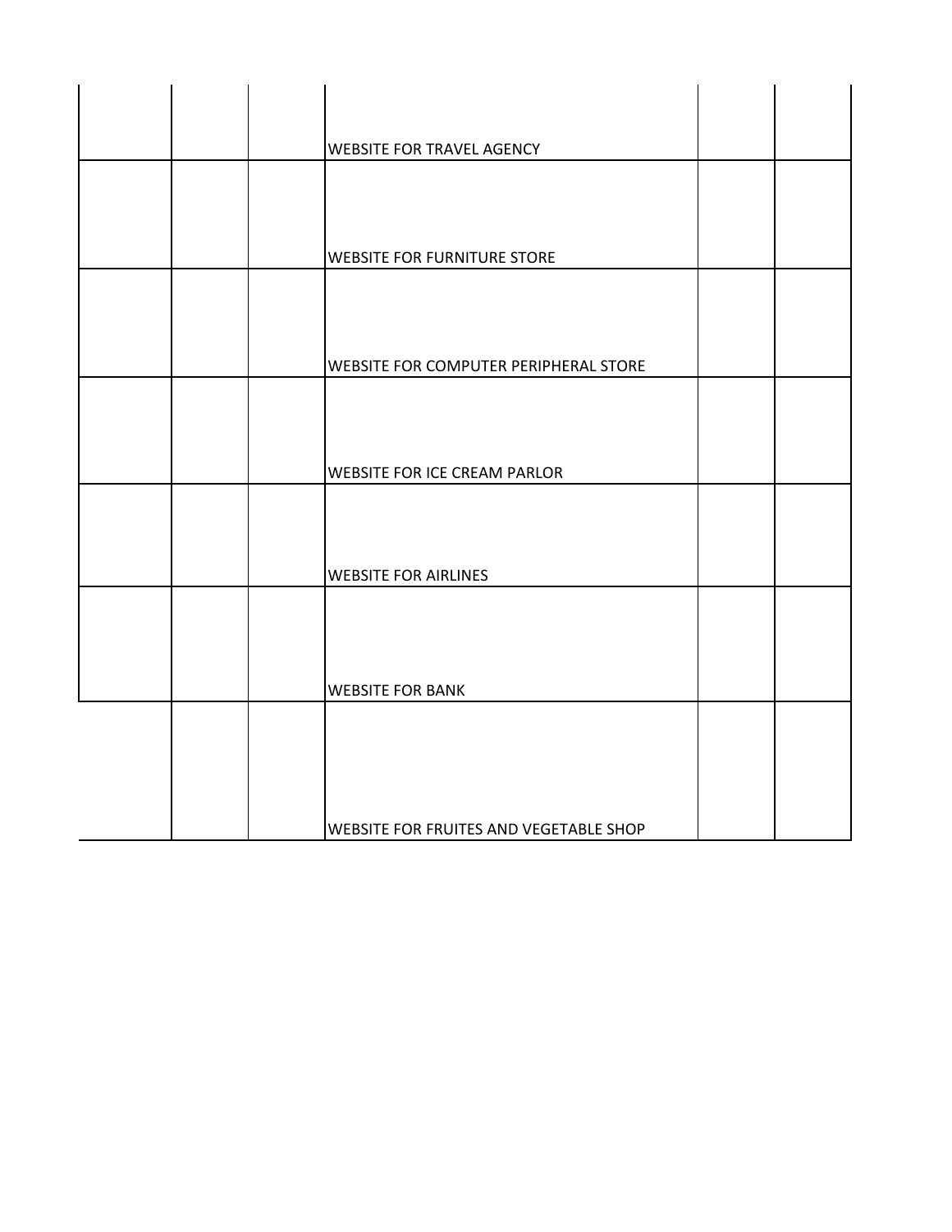|  | <b>WEBSITE FOR TRAVEL AGENCY</b>             |  |
|--|----------------------------------------------|--|
|  |                                              |  |
|  |                                              |  |
|  | WEBSITE FOR FURNITURE STORE                  |  |
|  |                                              |  |
|  |                                              |  |
|  | <b>WEBSITE FOR COMPUTER PERIPHERAL STORE</b> |  |
|  |                                              |  |
|  |                                              |  |
|  | <b>WEBSITE FOR ICE CREAM PARLOR</b>          |  |
|  |                                              |  |
|  |                                              |  |
|  | <b>WEBSITE FOR AIRLINES</b>                  |  |
|  |                                              |  |
|  |                                              |  |
|  | <b>WEBSITE FOR BANK</b>                      |  |
|  |                                              |  |
|  |                                              |  |
|  |                                              |  |
|  | WEBSITE FOR FRUITES AND VEGETABLE SHOP       |  |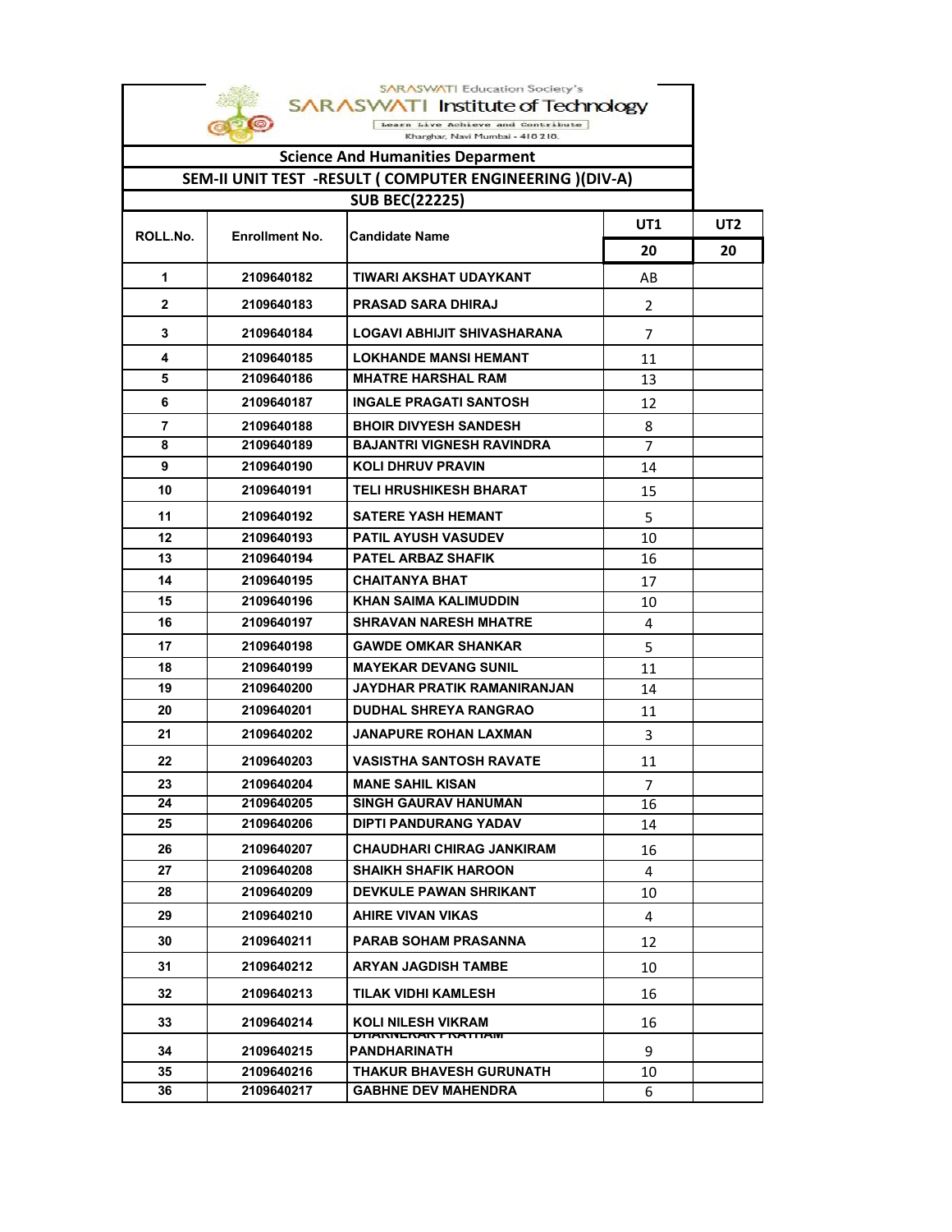| <b>SARASWATI Education Society's</b><br>SARASWATI Institute of Technology |                       |                                                       |                |           |  |  |
|---------------------------------------------------------------------------|-----------------------|-------------------------------------------------------|----------------|-----------|--|--|
| Learn Live Achieve and Contribute                                         |                       |                                                       |                |           |  |  |
| Kharghar, Navi Mumbai - 410 210.                                          |                       |                                                       |                |           |  |  |
| <b>Science And Humanities Deparment</b>                                   |                       |                                                       |                |           |  |  |
| SEM-II UNIT TEST -RESULT ( COMPUTER ENGINEERING )(DIV-A)                  |                       |                                                       |                |           |  |  |
|                                                                           |                       | <b>SUB BEC(22225)</b>                                 |                |           |  |  |
| ROLL.No.                                                                  | <b>Enrollment No.</b> | <b>Candidate Name</b>                                 | UT1<br>20      | UT2<br>20 |  |  |
| 1                                                                         | 2109640182            | TIWARI AKSHAT UDAYKANT                                | AB             |           |  |  |
| $\mathbf{2}$                                                              | 2109640183            | <b>PRASAD SARA DHIRAJ</b>                             | $\overline{2}$ |           |  |  |
| 3                                                                         | 2109640184            | LOGAVI ABHIJIT SHIVASHARANA                           | 7              |           |  |  |
| 4                                                                         | 2109640185            | <b>LOKHANDE MANSI HEMANT</b>                          | 11             |           |  |  |
| 5                                                                         | 2109640186            | <b>MHATRE HARSHAL RAM</b>                             | 13             |           |  |  |
| 6                                                                         | 2109640187            | <b>INGALE PRAGATI SANTOSH</b>                         | 12             |           |  |  |
| 7                                                                         | 2109640188            | <b>BHOIR DIVYESH SANDESH</b>                          | 8              |           |  |  |
| 8                                                                         | 2109640189            | <b>BAJANTRI VIGNESH RAVINDRA</b>                      | 7              |           |  |  |
| 9                                                                         | 2109640190            | <b>KOLI DHRUV PRAVIN</b>                              | 14             |           |  |  |
| 10                                                                        | 2109640191            | <b>TELI HRUSHIKESH BHARAT</b>                         | 15             |           |  |  |
| 11                                                                        | 2109640192            | <b>SATERE YASH HEMANT</b>                             | 5              |           |  |  |
| 12                                                                        | 2109640193            | <b>PATIL AYUSH VASUDEV</b>                            | 10             |           |  |  |
| 13                                                                        | 2109640194            | <b>PATEL ARBAZ SHAFIK</b>                             | 16             |           |  |  |
| 14                                                                        | 2109640195            | <b>CHAITANYA BHAT</b>                                 | 17             |           |  |  |
| 15                                                                        | 2109640196            | KHAN SAIMA KALIMUDDIN                                 | 10             |           |  |  |
| 16                                                                        | 2109640197            | <b>SHRAVAN NARESH MHATRE</b>                          | 4              |           |  |  |
| 17                                                                        | 2109640198            | <b>GAWDE OMKAR SHANKAR</b>                            | 5              |           |  |  |
| 18                                                                        | 2109640199            | <b>MAYEKAR DEVANG SUNIL</b>                           | 11             |           |  |  |
| 19                                                                        | 2109640200            | <b>JAYDHAR PRATIK RAMANIRANJAN</b>                    | 14             |           |  |  |
| 20                                                                        | 2109640201            | <b>DUDHAL SHREYA RANGRAO</b>                          | 11             |           |  |  |
| 21                                                                        | 2109640202            | <b>JANAPURE ROHAN LAXMAN</b>                          | 3              |           |  |  |
| 22                                                                        | 2109640203            | <b>VASISTHA SANTOSH RAVATE</b>                        | 11             |           |  |  |
| 23                                                                        | 2109640204            | <b>MANE SAHIL KISAN</b>                               | 7              |           |  |  |
| 24                                                                        | 2109640205            | <b>SINGH GAURAV HANUMAN</b>                           | 16             |           |  |  |
| 25                                                                        | 2109640206            | DIPTI PANDURANG YADAV                                 | 14             |           |  |  |
| 26                                                                        | 2109640207            | CHAUDHARI CHIRAG JANKIRAM                             | 16             |           |  |  |
| 27                                                                        | 2109640208            | <b>SHAIKH SHAFIK HAROON</b>                           | 4              |           |  |  |
| 28                                                                        | 2109640209            | <b>DEVKULE PAWAN SHRIKANT</b>                         | 10             |           |  |  |
| 29                                                                        | 2109640210            | <b>AHIRE VIVAN VIKAS</b>                              | 4              |           |  |  |
| 30                                                                        | 2109640211            | <b>PARAB SOHAM PRASANNA</b>                           | 12             |           |  |  |
| 31                                                                        | 2109640212            | <b>ARYAN JAGDISH TAMBE</b>                            | 10             |           |  |  |
| 32                                                                        | 2109640213            | TILAK VIDHI KAMLESH                                   | 16             |           |  |  |
| 33                                                                        | 2109640214            | <b>KOLI NILESH VIKRAM</b><br><b>UNANNENAN FRATHAM</b> | 16             |           |  |  |
| 34                                                                        | 2109640215            | PANDHARINATH                                          | 9              |           |  |  |
| 35                                                                        | 2109640216            | <b>THAKUR BHAVESH GURUNATH</b>                        | 10             |           |  |  |
| 36                                                                        | 2109640217            | <b>GABHNE DEV MAHENDRA</b>                            | 6              |           |  |  |

Г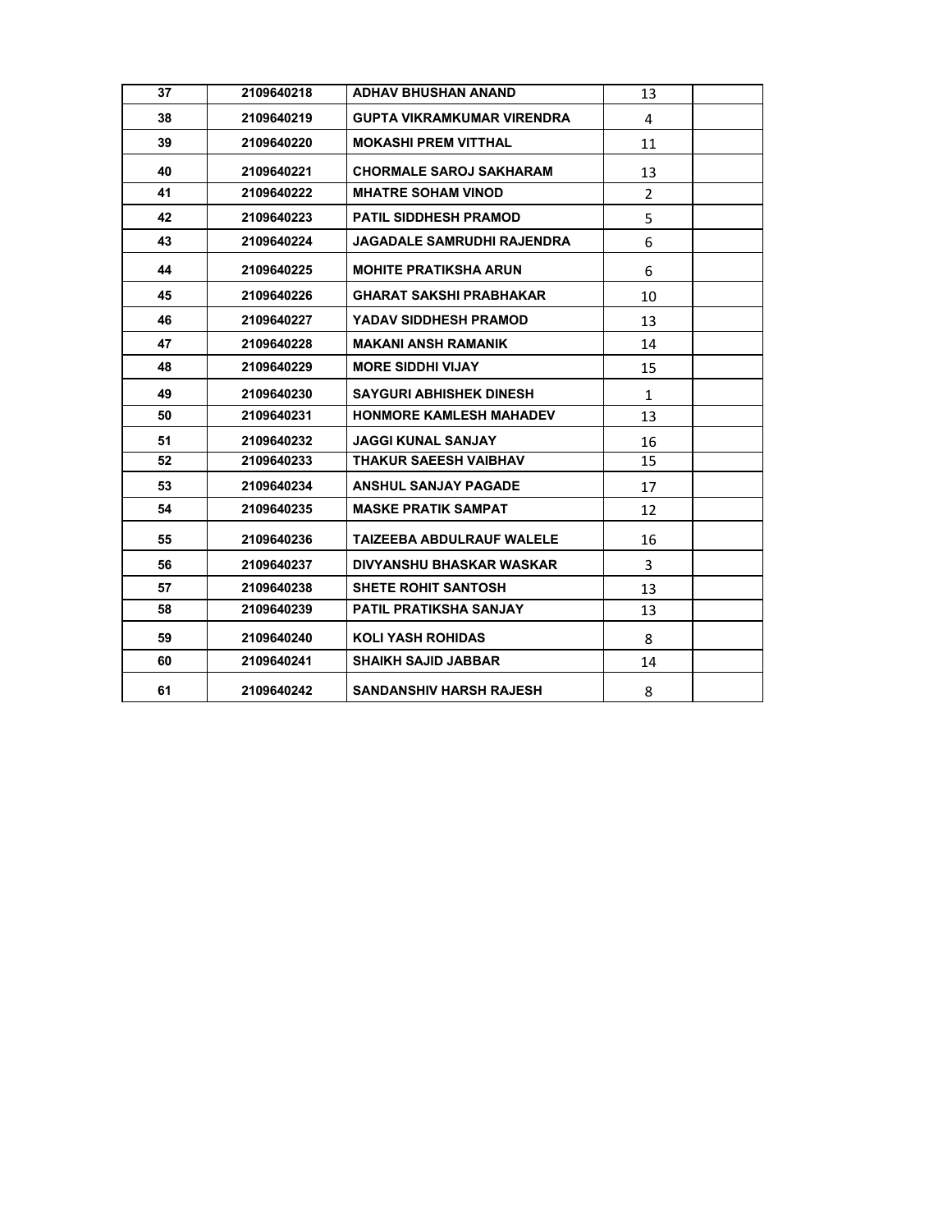| 37 | 2109640218 | <b>ADHAV BHUSHAN ANAND</b>        | 13             |  |
|----|------------|-----------------------------------|----------------|--|
| 38 | 2109640219 | <b>GUPTA VIKRAMKUMAR VIRENDRA</b> | 4              |  |
| 39 | 2109640220 | <b>MOKASHI PREM VITTHAL</b>       | 11             |  |
| 40 | 2109640221 | <b>CHORMALE SAROJ SAKHARAM</b>    | 13             |  |
| 41 | 2109640222 | <b>MHATRE SOHAM VINOD</b>         | $\overline{2}$ |  |
| 42 | 2109640223 | <b>PATIL SIDDHESH PRAMOD</b>      | 5              |  |
| 43 | 2109640224 | JAGADALE SAMRUDHI RAJENDRA        | 6              |  |
| 44 | 2109640225 | <b>MOHITE PRATIKSHA ARUN</b>      | 6              |  |
| 45 | 2109640226 | <b>GHARAT SAKSHI PRABHAKAR</b>    | 10             |  |
| 46 | 2109640227 | YADAV SIDDHESH PRAMOD             | 13             |  |
| 47 | 2109640228 | MAKANI ANSH RAMANIK               | 14             |  |
| 48 | 2109640229 | <b>MORE SIDDHI VIJAY</b>          | 15             |  |
| 49 | 2109640230 | <b>SAYGURI ABHISHEK DINESH</b>    | $\mathbf{1}$   |  |
| 50 | 2109640231 | <b>HONMORE KAMLESH MAHADEV</b>    | 13             |  |
| 51 | 2109640232 | <b>JAGGI KUNAL SANJAY</b>         | 16             |  |
| 52 | 2109640233 | <b>THAKUR SAEESH VAIBHAV</b>      | 15             |  |
| 53 | 2109640234 | <b>ANSHUL SANJAY PAGADE</b>       | 17             |  |
| 54 | 2109640235 | <b>MASKE PRATIK SAMPAT</b>        | 12             |  |
| 55 | 2109640236 | TAIZEEBA ABDULRAUF WALELE         | 16             |  |
| 56 | 2109640237 | DIVYANSHU BHASKAR WASKAR          | 3              |  |
| 57 | 2109640238 | <b>SHETE ROHIT SANTOSH</b>        | 13             |  |
| 58 | 2109640239 | <b>PATIL PRATIKSHA SANJAY</b>     | 13             |  |
| 59 | 2109640240 | <b>KOLI YASH ROHIDAS</b>          | 8              |  |
| 60 | 2109640241 | <b>SHAIKH SAJID JABBAR</b>        | 14             |  |
| 61 | 2109640242 | <b>SANDANSHIV HARSH RAJESH</b>    | 8              |  |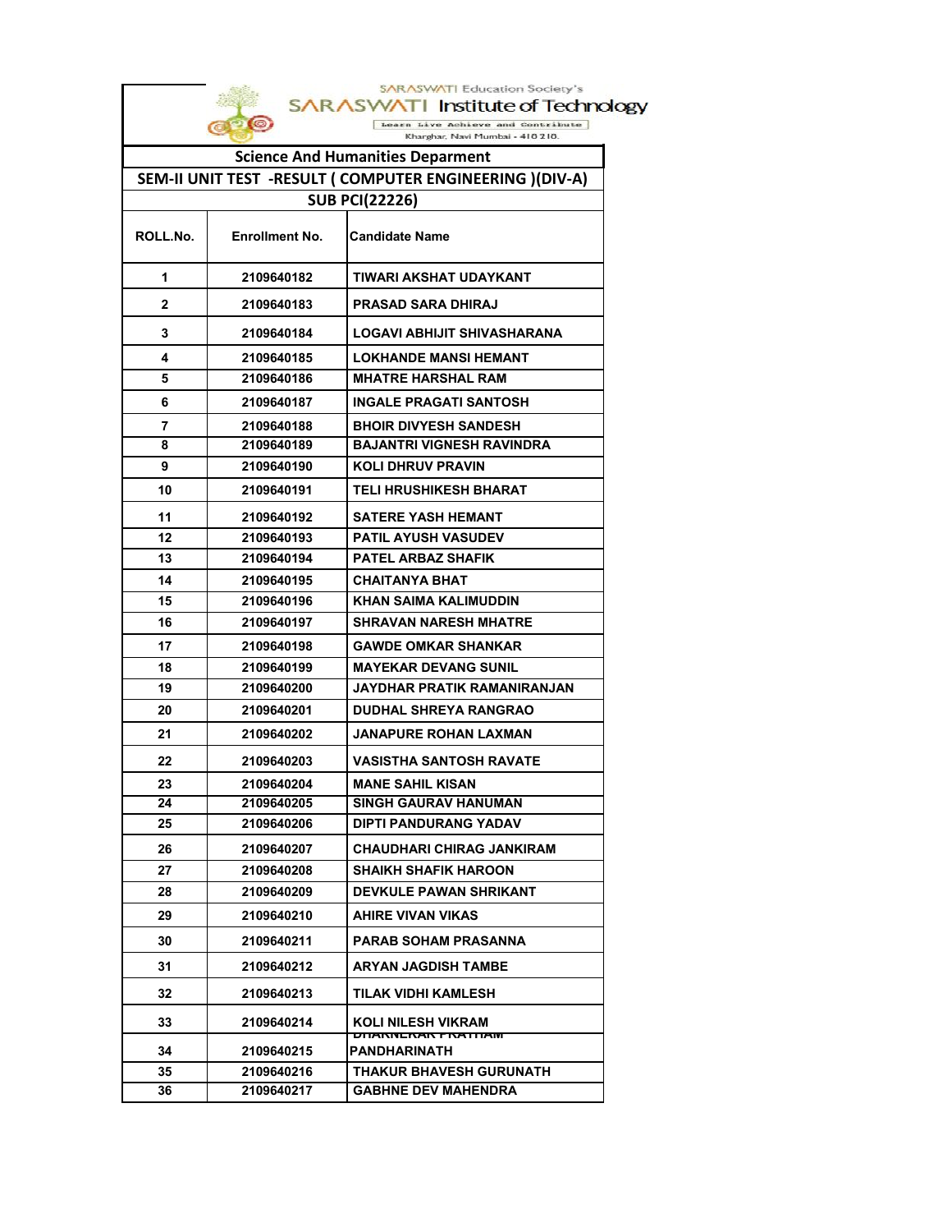|          |                       | <b>SARASWATI Education Society's</b><br><b>SARASW/</b><br>Institute of Technology |
|----------|-----------------------|-----------------------------------------------------------------------------------|
|          |                       | Live Achieve and Contribute                                                       |
|          |                       | Kharghar, Navi Mumbai - 410 210.                                                  |
|          |                       | <b>Science And Humanities Deparment</b>                                           |
|          |                       | SEM-II UNIT TEST -RESULT ( COMPUTER ENGINEERING )(DIV-A)                          |
|          |                       | <b>SUB PCI(22226)</b>                                                             |
| ROLL.No. | <b>Enrollment No.</b> | <b>Candidate Name</b>                                                             |
| 1        | 2109640182            | TIWARI AKSHAT UDAYKANT                                                            |
| 2        | 2109640183            | <b>PRASAD SARA DHIRAJ</b>                                                         |
| 3        | 2109640184            | LOGAVI ABHIJIT SHIVASHARANA                                                       |
| 4        | 2109640185            | <b>LOKHANDE MANSI HEMANT</b>                                                      |
| 5        | 2109640186            | <b>MHATRE HARSHAL RAM</b>                                                         |
| 6        | 2109640187            | <b>INGALE PRAGATI SANTOSH</b>                                                     |
| 7        | 2109640188            | <b>BHOIR DIVYESH SANDESH</b>                                                      |
| 8        | 2109640189            | <b>BAJANTRI VIGNESH RAVINDRA</b>                                                  |
| 9        | 2109640190            | <b>KOLI DHRUV PRAVIN</b>                                                          |
| 10       | 2109640191            | <b>TELI HRUSHIKESH BHARAT</b>                                                     |
| 11       | 2109640192            | <b>SATERE YASH HEMANT</b>                                                         |
| 12       | 2109640193            | <b>PATIL AYUSH VASUDEV</b>                                                        |
| 13       | 2109640194            | <b>PATEL ARBAZ SHAFIK</b>                                                         |
| 14       | 2109640195            | <b>CHAITANYA BHAT</b>                                                             |
| 15       | 2109640196            | KHAN SAIMA KALIMUDDIN                                                             |
| 16       | 2109640197            | <b>SHRAVAN NARESH MHATRE</b>                                                      |
| 17       | 2109640198            | <b>GAWDE OMKAR SHANKAR</b>                                                        |
| 18       | 2109640199            | <b>MAYEKAR DEVANG SUNIL</b>                                                       |
| 19       | 2109640200            | JAYDHAR PRATIK RAMANIRANJAN                                                       |
| 20       | 2109640201            | <b>DUDHAL SHREYA RANGRAO</b>                                                      |
| 21       | 2109640202            | <b>JANAPURE ROHAN LAXMAN</b>                                                      |
| 22       | 2109640203            | <b>VASISTHA SANTOSH RAVATE</b>                                                    |
| 23       | 2109640204            | <b>MANE SAHIL KISAN</b>                                                           |
| 24       | 2109640205            | <b>SINGH GAURAV HANUMAN</b>                                                       |
| 25       | 2109640206            | DIPTI PANDURANG YADAV                                                             |
| 26       | 2109640207            | CHAUDHARI CHIRAG JANKIRAM                                                         |
| 27       | 2109640208            | <b>SHAIKH SHAFIK HAROON</b>                                                       |
| 28       | 2109640209            | <b>DEVKULE PAWAN SHRIKANT</b>                                                     |
| 29       | 2109640210            | <b>AHIRE VIVAN VIKAS</b>                                                          |
| 30       | 2109640211            | PARAB SOHAM PRASANNA                                                              |
| 31       | 2109640212            | ARYAN JAGDISH TAMBE                                                               |
| 32       | 2109640213            | TILAK VIDHI KAMLESH                                                               |
| 33       | 2109640214            | KOLI NILESH VIKRAM<br><b>UNANNENAN FRATHAM</b>                                    |
| 34       | 2109640215            | PANDHARINATH                                                                      |
| 35       | 2109640216            | <b>THAKUR BHAVESH GURUNATH</b>                                                    |
| 36       | 2109640217            | <b>GABHNE DEV MAHENDRA</b>                                                        |

 $\mathbf{I}$